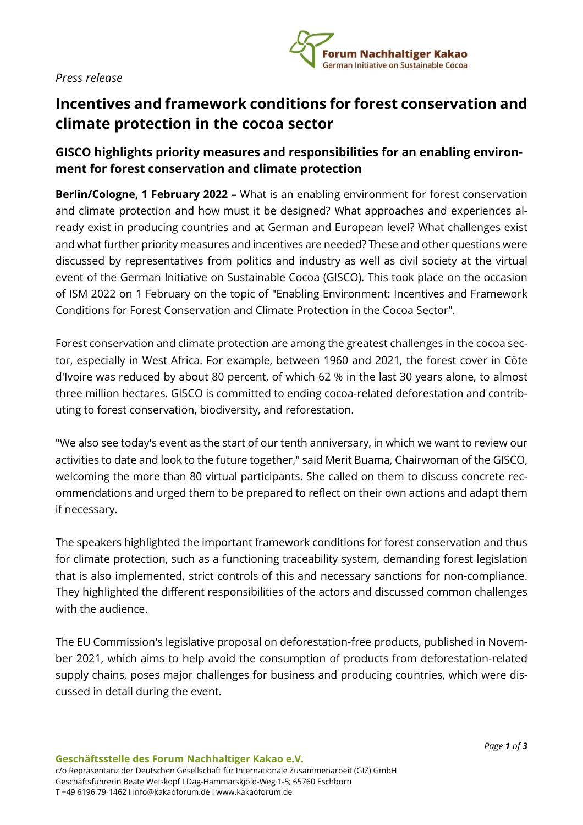### *Press release*



# **Incentives and framework conditions for forest conservation and climate protection in the cocoa sector**

## **GISCO highlights priority measures and responsibilities for an enabling environment for forest conservation and climate protection**

**Berlin/Cologne, 1 February 2022 –** What is an enabling environment for forest conservation and climate protection and how must it be designed? What approaches and experiences already exist in producing countries and at German and European level? What challenges exist and what further priority measures and incentives are needed? These and other questions were discussed by representatives from politics and industry as well as civil society at the virtual event of the German Initiative on Sustainable Cocoa (GISCO). This took place on the occasion of ISM 2022 on 1 February on the topic of "Enabling Environment: Incentives and Framework Conditions for Forest Conservation and Climate Protection in the Cocoa Sector".

Forest conservation and climate protection are among the greatest challenges in the cocoa sector, especially in West Africa. For example, between 1960 and 2021, the forest cover in Côte d'Ivoire was reduced by about 80 percent, of which 62 % in the last 30 years alone, to almost three million hectares. GISCO is committed to ending cocoa-related deforestation and contributing to forest conservation, biodiversity, and reforestation.

"We also see today's event as the start of our tenth anniversary, in which we want to review our activities to date and look to the future together," said Merit Buama, Chairwoman of the GISCO, welcoming the more than 80 virtual participants. She called on them to discuss concrete recommendations and urged them to be prepared to reflect on their own actions and adapt them if necessary.

The speakers highlighted the important framework conditions for forest conservation and thus for climate protection, such as a functioning traceability system, demanding forest legislation that is also implemented, strict controls of this and necessary sanctions for non-compliance. They highlighted the different responsibilities of the actors and discussed common challenges with the audience.

The EU Commission's legislative proposal on deforestation-free products, published in November 2021, which aims to help avoid the consumption of products from deforestation-related supply chains, poses major challenges for business and producing countries, which were discussed in detail during the event.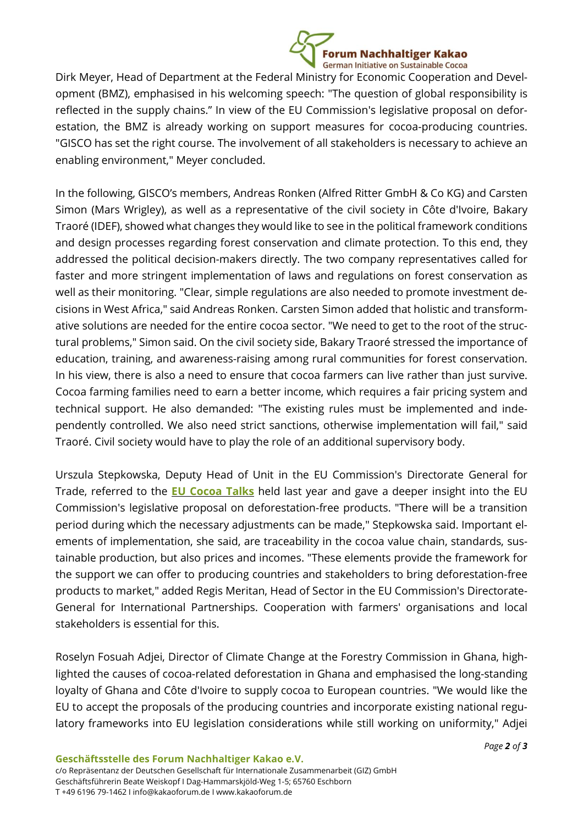

Dirk Meyer, Head of Department at the Federal Ministry for Economic Cooperation and Development (BMZ), emphasised in his welcoming speech: "The question of global responsibility is reflected in the supply chains." In view of the EU Commission's legislative proposal on deforestation, the BMZ is already working on support measures for cocoa-producing countries. "GISCO has set the right course. The involvement of all stakeholders is necessary to achieve an enabling environment," Meyer concluded.

In the following, GISCO's members, Andreas Ronken (Alfred Ritter GmbH & Co KG) and Carsten Simon (Mars Wrigley), as well as a representative of the civil society in Côte d'Ivoire, Bakary Traoré (IDEF), showed what changes they would like to see in the political framework conditions and design processes regarding forest conservation and climate protection. To this end, they addressed the political decision-makers directly. The two company representatives called for faster and more stringent implementation of laws and regulations on forest conservation as well as their monitoring. "Clear, simple regulations are also needed to promote investment decisions in West Africa," said Andreas Ronken. Carsten Simon added that holistic and transformative solutions are needed for the entire cocoa sector. "We need to get to the root of the structural problems," Simon said. On the civil society side, Bakary Traoré stressed the importance of education, training, and awareness-raising among rural communities for forest conservation. In his view, there is also a need to ensure that cocoa farmers can live rather than just survive. Cocoa farming families need to earn a better income, which requires a fair pricing system and technical support. He also demanded: "The existing rules must be implemented and independently controlled. We also need strict sanctions, otherwise implementation will fail," said Traoré. Civil society would have to play the role of an additional supervisory body.

Urszula Stepkowska, Deputy Head of Unit in the EU Commission's Directorate General for Trade, referred to the **EU [Cocoa](https://ec.europa.eu/international-partnerships/events/eu-multi-stakeholder-dialogue-sustainable-cocoa_en) Talks** held last year and gave a deeper insight into the EU Commission's legislative proposal on deforestation-free products. "There will be a transition period during which the necessary adjustments can be made," Stepkowska said. Important elements of implementation, she said, are traceability in the cocoa value chain, standards, sustainable production, but also prices and incomes. "These elements provide the framework for the support we can offer to producing countries and stakeholders to bring deforestation-free products to market," added Regis Meritan, Head of Sector in the EU Commission's Directorate-General for International Partnerships. Cooperation with farmers' organisations and local stakeholders is essential for this.

Roselyn Fosuah Adjei, Director of Climate Change at the Forestry Commission in Ghana, highlighted the causes of cocoa-related deforestation in Ghana and emphasised the long-standing loyalty of Ghana and Côte d'Ivoire to supply cocoa to European countries. "We would like the EU to accept the proposals of the producing countries and incorporate existing national regulatory frameworks into EU legislation considerations while still working on uniformity," Adjei